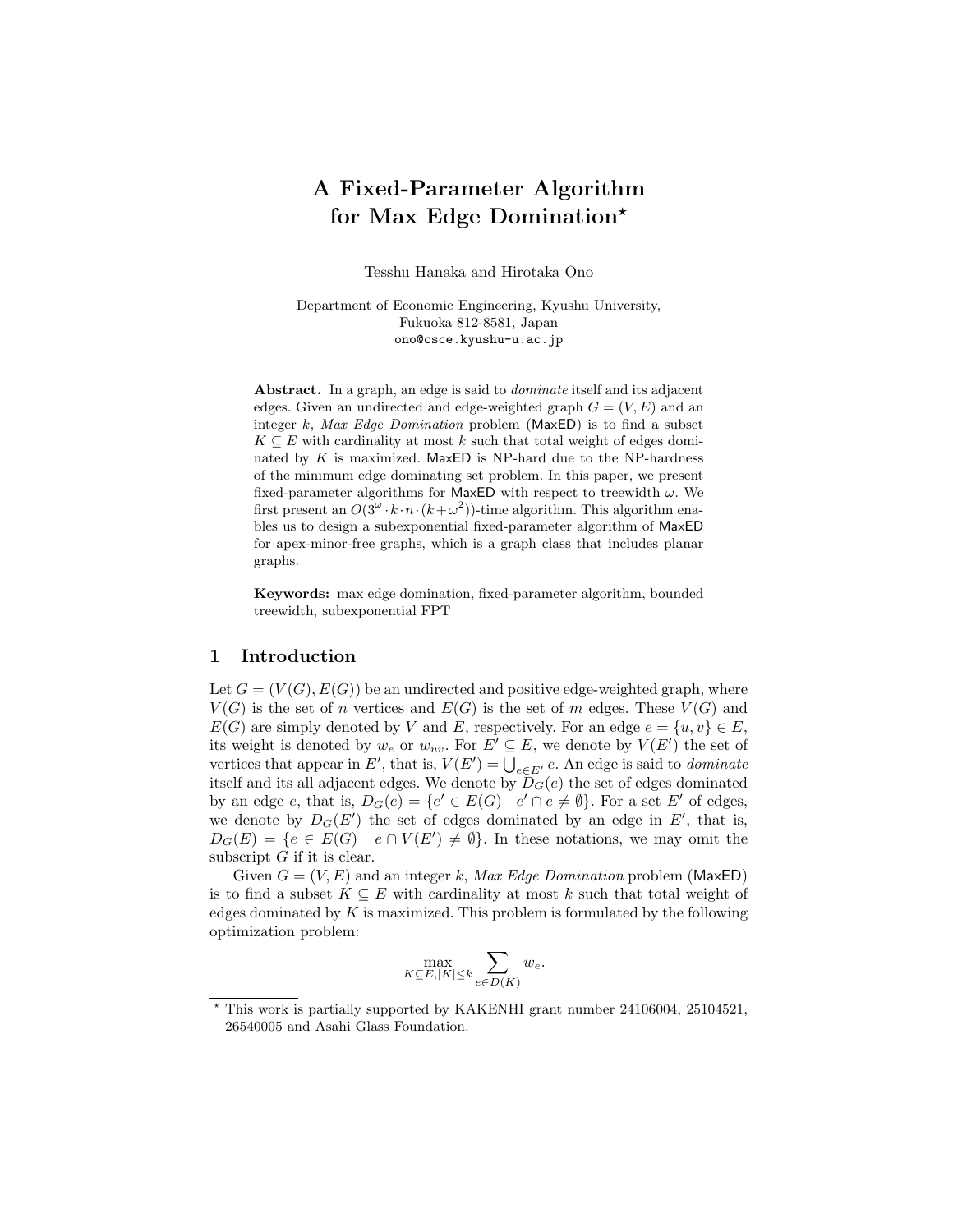# A Fixed-Parameter Algorithm for Max Edge Domination<sup>\*</sup>

Tesshu Hanaka and Hirotaka Ono

Department of Economic Engineering, Kyushu University, Fukuoka 812-8581, Japan ono@csce.kyushu-u.ac.jp

Abstract. In a graph, an edge is said to *dominate* itself and its adjacent edges. Given an undirected and edge-weighted graph  $G = (V, E)$  and an integer  $k$ , Max Edge Domination problem (MaxED) is to find a subset  $K \subseteq E$  with cardinality at most k such that total weight of edges dominated by  $K$  is maximized. MaxED is NP-hard due to the NP-hardness of the minimum edge dominating set problem. In this paper, we present fixed-parameter algorithms for MaxED with respect to treewidth  $\omega$ . We first present an  $O(3^{\omega} \cdot k \cdot n \cdot (k + \omega^2))$ -time algorithm. This algorithm enables us to design a subexponential fixed-parameter algorithm of MaxED for apex-minor-free graphs, which is a graph class that includes planar graphs.

Keywords: max edge domination, fixed-parameter algorithm, bounded treewidth, subexponential FPT

### 1 Introduction

Let  $G = (V(G), E(G))$  be an undirected and positive edge-weighted graph, where  $V(G)$  is the set of n vertices and  $E(G)$  is the set of m edges. These  $V(G)$  and  $E(G)$  are simply denoted by V and E, respectively. For an edge  $e = \{u, v\} \in E$ , its weight is denoted by  $w_e$  or  $w_{uv}$ . For  $E' \subseteq E$ , we denote by  $V(E')$  the set of vertices that appear in E', that is,  $V(E') = \bigcup_{e \in E'} e$ . An edge is said to *dominate* itself and its all adjacent edges. We denote by  $D<sub>G</sub>(e)$  the set of edges dominated by an edge e, that is,  $D_G(e) = \{e' \in E(G) \mid e' \cap e \neq \emptyset\}$ . For a set E' of edges, we denote by  $D_G(E')$  the set of edges dominated by an edge in  $E'$ , that is,  $D_G(E) = \{e \in E(G) \mid e \cap V(E') \neq \emptyset\}.$  In these notations, we may omit the subscript  $G$  if it is clear.

Given  $G = (V, E)$  and an integer k, Max Edge Domination problem (MaxED) is to find a subset  $K \subseteq E$  with cardinality at most k such that total weight of edges dominated by  $K$  is maximized. This problem is formulated by the following optimization problem:

$$
\max_{K \subseteq E, |K| \le k} \sum_{e \in D(K)} w_e.
$$

<sup>?</sup> This work is partially supported by KAKENHI grant number 24106004, 25104521, 26540005 and Asahi Glass Foundation.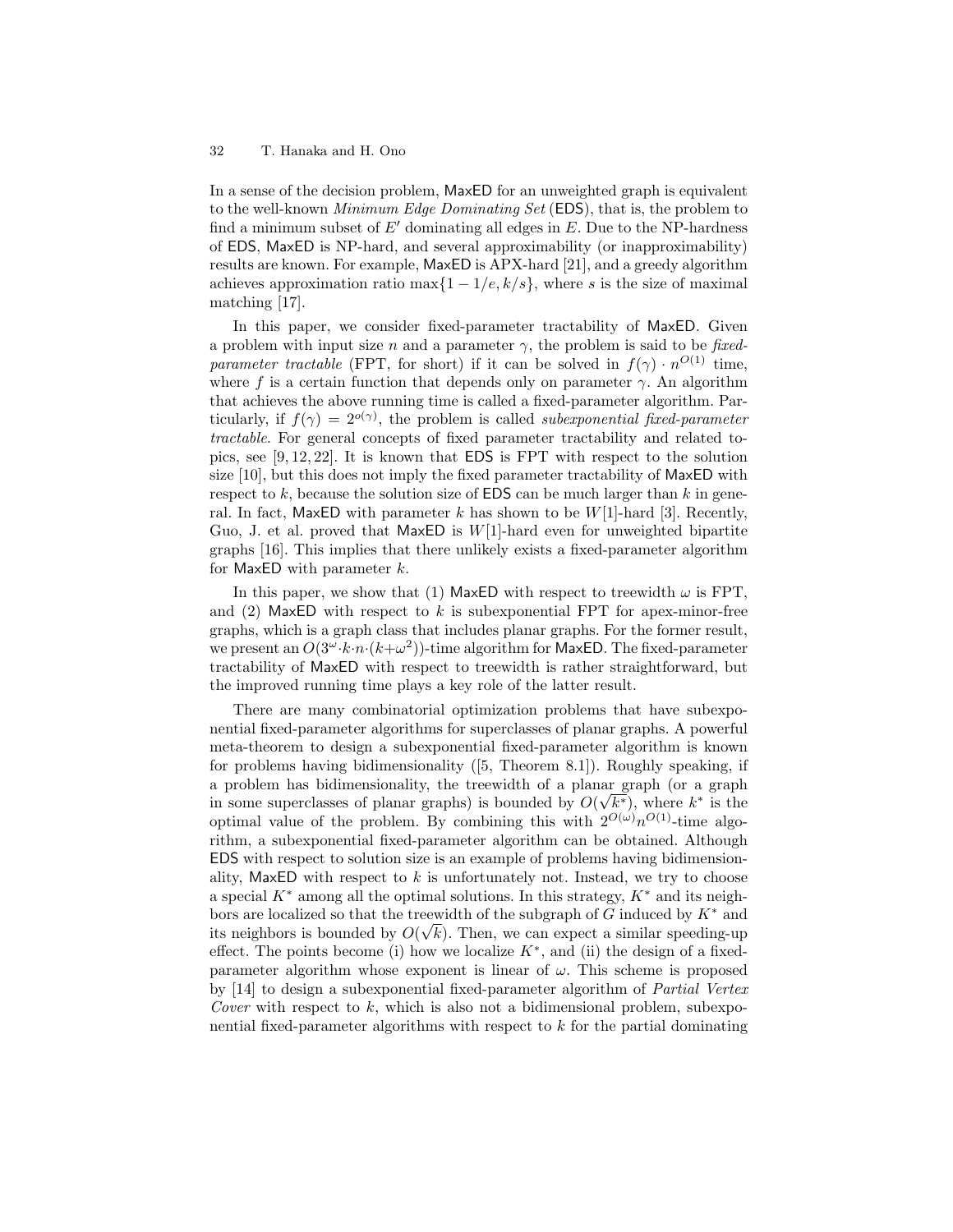In a sense of the decision problem, MaxED for an unweighted graph is equivalent to the well-known Minimum Edge Dominating Set (EDS), that is, the problem to find a minimum subset of  $E'$  dominating all edges in E. Due to the NP-hardness of EDS, MaxED is NP-hard, and several approximability (or inapproximability) results are known. For example, MaxED is APX-hard [21], and a greedy algorithm achieves approximation ratio max $\{1 - 1/e, k/s\}$ , where s is the size of maximal matching [17].

In this paper, we consider fixed-parameter tractability of MaxED. Given a problem with input size n and a parameter  $\gamma$ , the problem is said to be fixedparameter tractable (FPT, for short) if it can be solved in  $f(\gamma) \cdot n^{O(1)}$  time, where f is a certain function that depends only on parameter  $\gamma$ . An algorithm that achieves the above running time is called a fixed-parameter algorithm. Particularly, if  $f(\gamma) = 2^{o(\gamma)}$ , the problem is called *subexponential fixed-parameter* tractable. For general concepts of fixed parameter tractability and related topics, see [9, 12, 22]. It is known that EDS is FPT with respect to the solution size [10], but this does not imply the fixed parameter tractability of MaxED with respect to  $k$ , because the solution size of **EDS** can be much larger than  $k$  in general. In fact, MaxED with parameter k has shown to be  $W[1]$ -hard [3]. Recently, Guo, J. et al. proved that  $MaxED$  is  $W[1]$ -hard even for unweighted bipartite graphs [16]. This implies that there unlikely exists a fixed-parameter algorithm for MaxED with parameter  $k$ .

In this paper, we show that (1) MaxED with respect to treewidth  $\omega$  is FPT, and  $(2)$  MaxED with respect to k is subexponential FPT for apex-minor-free graphs, which is a graph class that includes planar graphs. For the former result, we present an  $O(3^{\omega} \cdot k \cdot n \cdot (k + \omega^2))$ -time algorithm for MaxED. The fixed-parameter tractability of MaxED with respect to treewidth is rather straightforward, but the improved running time plays a key role of the latter result.

There are many combinatorial optimization problems that have subexponential fixed-parameter algorithms for superclasses of planar graphs. A powerful meta-theorem to design a subexponential fixed-parameter algorithm is known for problems having bidimensionality ([5, Theorem 8.1]). Roughly speaking, if a problem has bidimensionality, the treewidth of a planar graph (or a graph in some superclasses of planar graphs) is bounded by  $O(\sqrt{k^*})$ , where  $k^*$  is the optimal value of the problem. By combining this with  $2^{O(\omega)} n^{O(1)}$ -time algorithm, a subexponential fixed-parameter algorithm can be obtained. Although EDS with respect to solution size is an example of problems having bidimensionality, MaxED with respect to  $k$  is unfortunately not. Instead, we try to choose a special  $K^*$  among all the optimal solutions. In this strategy,  $K^*$  and its neighbors are localized so that the treewidth of the subgraph of G induced by  $K^*$  and its neighbors is bounded by  $O(\sqrt{k})$ . Then, we can expect a similar speeding-up effect. The points become (i) how we localize  $K^*$ , and (ii) the design of a fixedparameter algorithm whose exponent is linear of  $\omega$ . This scheme is proposed by [14] to design a subexponential fixed-parameter algorithm of Partial Vertex Cover with respect to  $k$ , which is also not a bidimensional problem, subexponential fixed-parameter algorithms with respect to k for the partial dominating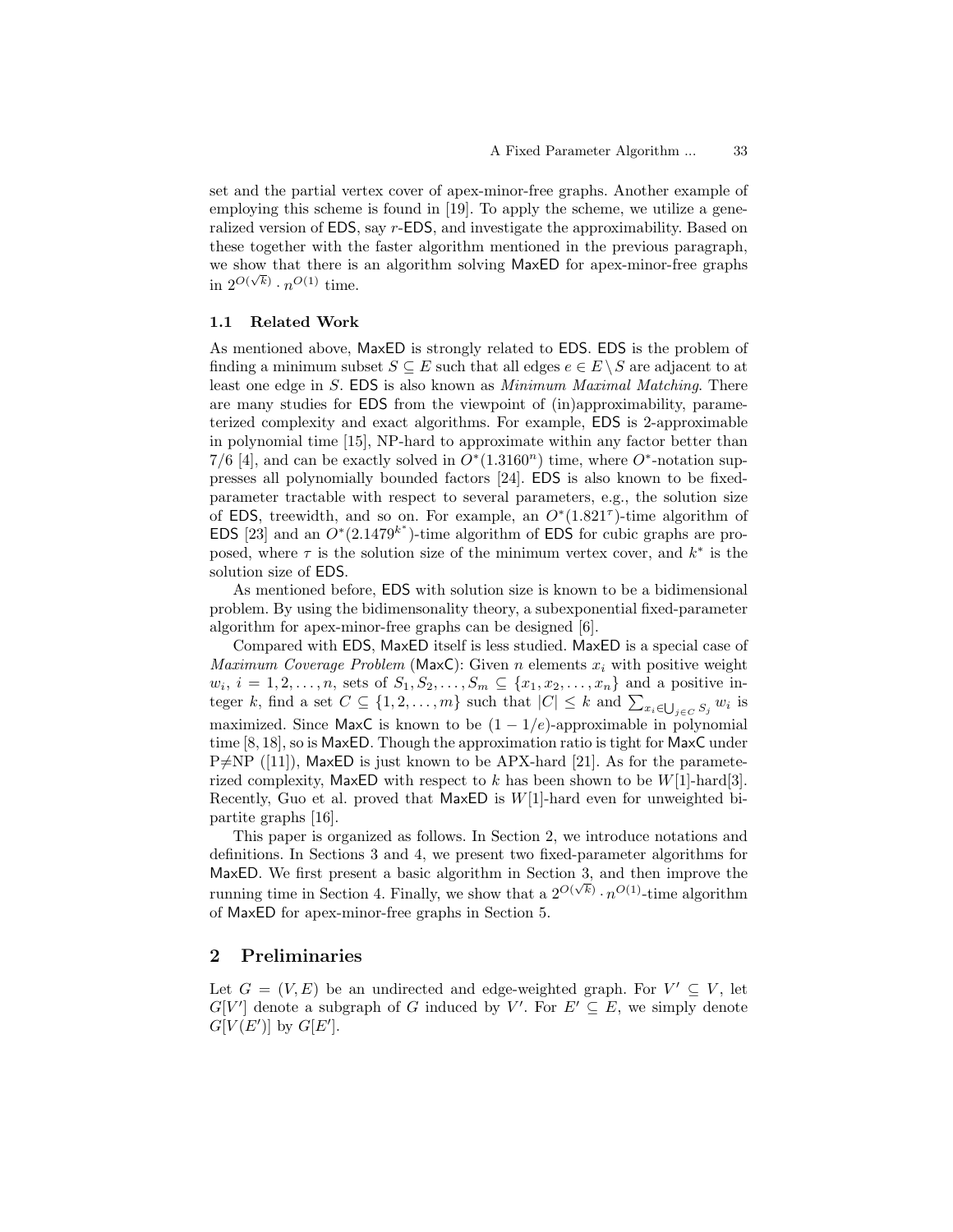set and the partial vertex cover of apex-minor-free graphs. Another example of employing this scheme is found in [19]. To apply the scheme, we utilize a generalized version of EDS, say r-EDS, and investigate the approximability. Based on these together with the faster algorithm mentioned in the previous paragraph, we show that there is an algorithm solving MaxED for apex-minor-free graphs in  $2^{O(\sqrt{k})} \cdot n^{O(1)}$  time.

# 1.1 Related Work

As mentioned above, MaxED is strongly related to EDS. EDS is the problem of finding a minimum subset  $S \subseteq E$  such that all edges  $e \in E \setminus S$  are adjacent to at least one edge in S. EDS is also known as Minimum Maximal Matching. There are many studies for EDS from the viewpoint of (in)approximability, parameterized complexity and exact algorithms. For example, EDS is 2-approximable in polynomial time [15], NP-hard to approximate within any factor better than 7/6 [4], and can be exactly solved in  $O^*(1.3160^n)$  time, where  $O^*$ -notation suppresses all polynomially bounded factors [24]. EDS is also known to be fixedparameter tractable with respect to several parameters, e.g., the solution size of EDS, treewidth, and so on. For example, an  $O^*(1.821^{\tau})$ -time algorithm of EDS [23] and an  $O^*(2.1479^{k^*})$ -time algorithm of EDS for cubic graphs are proposed, where  $\tau$  is the solution size of the minimum vertex cover, and  $k^*$  is the solution size of EDS.

As mentioned before, EDS with solution size is known to be a bidimensional problem. By using the bidimensonality theory, a subexponential fixed-parameter algorithm for apex-minor-free graphs can be designed [6].

Compared with EDS, MaxED itself is less studied. MaxED is a special case of Maximum Coverage Problem (MaxC): Given n elements  $x_i$  with positive weight  $w_i, i = 1, 2, \ldots, n$ , sets of  $S_1, S_2, \ldots, S_m \subseteq \{x_1, x_2, \ldots, x_n\}$  and a positive integer k, find a set  $C \subseteq \{1, 2, ..., m\}$  such that  $|C| \leq k$  and  $\sum_{x_i \in \bigcup_{j \in C} S_j} w_i$  is maximized. Since MaxC is known to be  $(1 - 1/e)$ -approximable in polynomial time [8, 18], so is MaxED. Though the approximation ratio is tight for MaxC under  $P\neq NP$  ([11]), MaxED is just known to be APX-hard [21]. As for the parameterized complexity, MaxED with respect to k has been shown to be  $W[1]$ -hard[3]. Recently, Guo et al. proved that  $MaxED$  is  $W[1]$ -hard even for unweighted bipartite graphs [16].

This paper is organized as follows. In Section 2, we introduce notations and definitions. In Sections 3 and 4, we present two fixed-parameter algorithms for MaxED. We first present a basic algorithm in Section 3, and then improve the running time in Section 4. Finally, we show that a  $2^{O(\sqrt{k})} \cdot n^{O(1)}$ -time algorithm of MaxED for apex-minor-free graphs in Section 5.

# 2 Preliminaries

Let  $G = (V, E)$  be an undirected and edge-weighted graph. For  $V' \subseteq V$ , let  $G[V']$  denote a subgraph of G induced by V'. For  $E' \subseteq E$ , we simply denote  $G[V(E')]$  by  $G[E'].$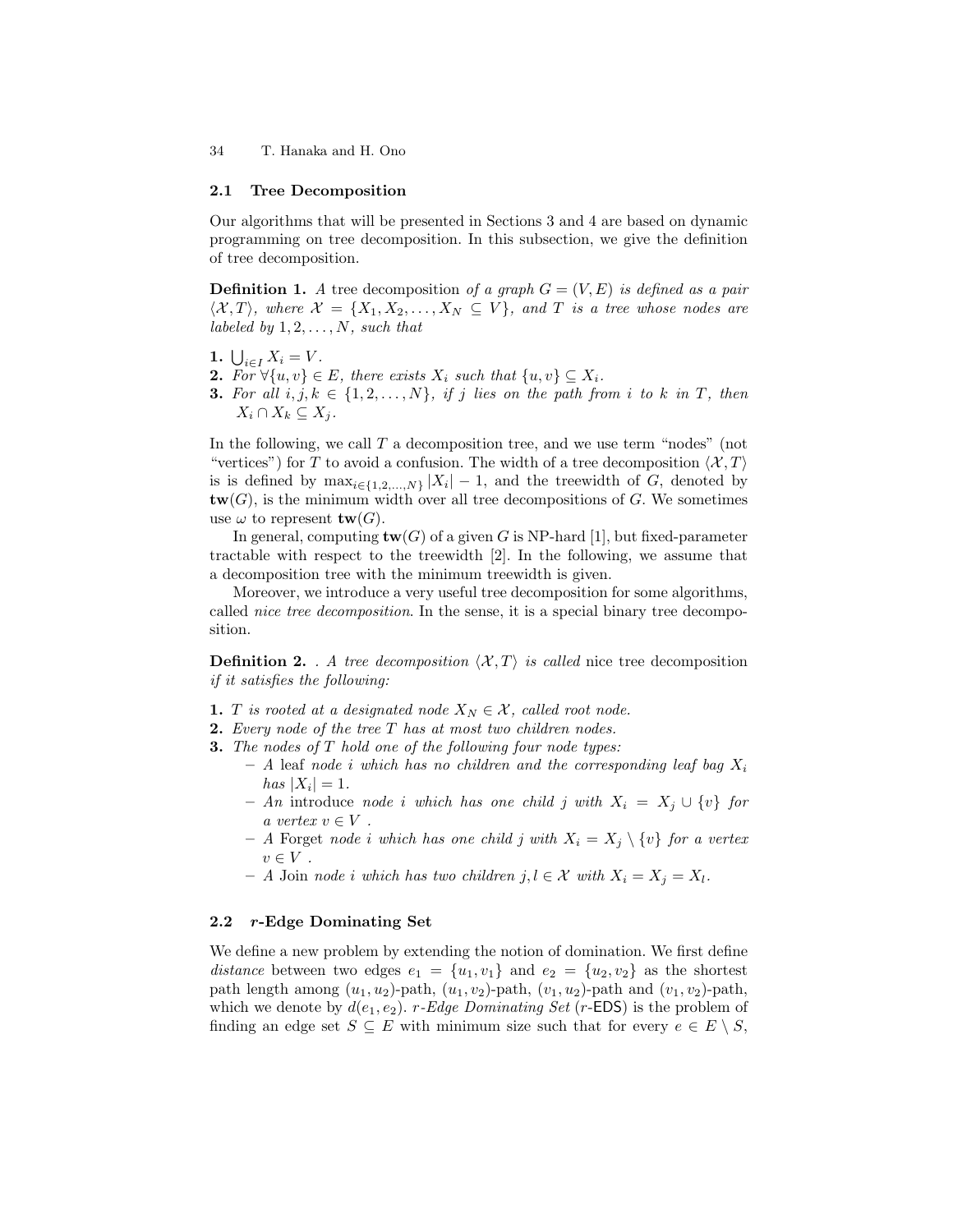#### 2.1 Tree Decomposition

Our algorithms that will be presented in Sections 3 and 4 are based on dynamic programming on tree decomposition. In this subsection, we give the definition of tree decomposition.

**Definition 1.** A tree decomposition of a graph  $G = (V, E)$  is defined as a pair  $\langle X, T \rangle$ , where  $X = \{X_1, X_2, \ldots, X_N \subseteq V\}$ , and T is a tree whose nodes are labeled by  $1, 2, \ldots, N$ , such that

- 1.  $\bigcup_{i \in I} X_i = V$ .
- 2. For  $\forall \{u, v\} \in E$ , there exists  $X_i$  such that  $\{u, v\} \subseteq X_i$ .
- **3.** For all  $i, j, k \in \{1, 2, ..., N\}$ , if j lies on the path from i to k in T, then  $X_i \cap X_k \subseteq X_j$ .

In the following, we call  $T$  a decomposition tree, and we use term "nodes" (not "vertices") for T to avoid a confusion. The width of a tree decomposition  $\langle \mathcal{X}, T \rangle$ is is defined by  $\max_{i \in \{1, 2, ..., N\}} |X_i| - 1$ , and the treewidth of G, denoted by  ${\bf tw}(G)$ , is the minimum width over all tree decompositions of G. We sometimes use  $\omega$  to represent  $tw(G)$ .

In general, computing  $\text{tw}(G)$  of a given G is NP-hard [1], but fixed-parameter tractable with respect to the treewidth [2]. In the following, we assume that a decomposition tree with the minimum treewidth is given.

Moreover, we introduce a very useful tree decomposition for some algorithms, called *nice tree decomposition*. In the sense, it is a special binary tree decomposition.

**Definition 2.** . A tree decomposition  $\langle X, T \rangle$  is called nice tree decomposition if it satisfies the following:

- 1. T is rooted at a designated node  $X_N \in \mathcal{X}$ , called root node.
- **2.** Every node of the tree  $T$  has at most two children nodes.
- **3.** The nodes of T hold one of the following four node types:
	- A leaf node i which has no children and the corresponding leaf bag  $X_i$ has  $|X_i| = 1$ .
	- An introduce node i which has one child j with  $X_i = X_j \cup \{v\}$  for a vertex  $v \in V$ .
	- A Forget node i which has one child j with  $X_i = X_j \setminus \{v\}$  for a vertex  $v \in V$ .
	- − A Join node i which has two children j,  $l \in \mathcal{X}$  with  $X_i = X_j = X_l$ .

### 2.2 r-Edge Dominating Set

We define a new problem by extending the notion of domination. We first define distance between two edges  $e_1 = \{u_1, v_1\}$  and  $e_2 = \{u_2, v_2\}$  as the shortest path length among  $(u_1, u_2)$ -path,  $(u_1, v_2)$ -path,  $(v_1, u_2)$ -path and  $(v_1, v_2)$ -path, which we denote by  $d(e_1, e_2)$ . r-Edge Dominating Set (r-EDS) is the problem of finding an edge set  $S \subseteq E$  with minimum size such that for every  $e \in E \setminus S$ ,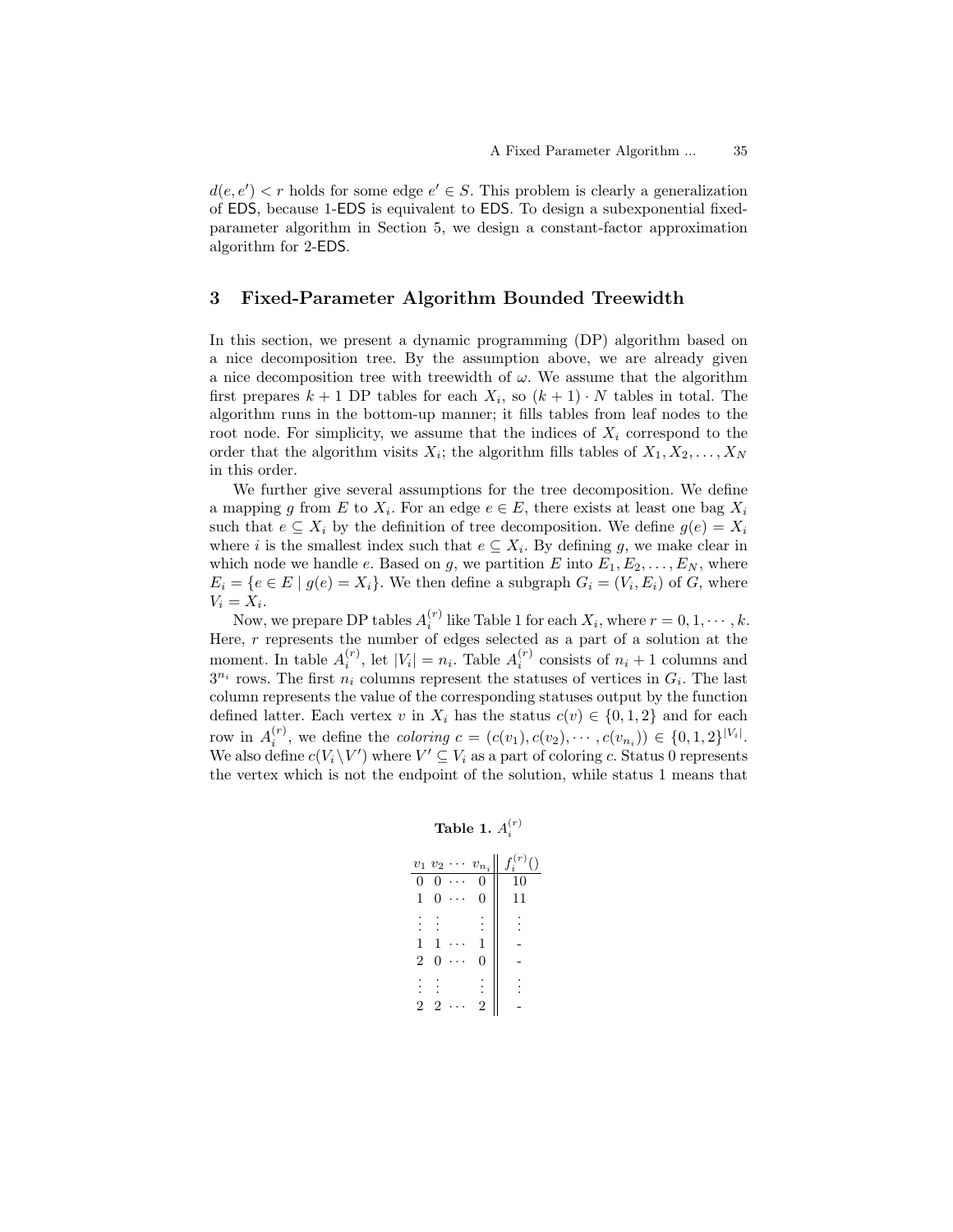$d(e, e') < r$  holds for some edge  $e' \in S$ . This problem is clearly a generalization of EDS, because 1-EDS is equivalent to EDS. To design a subexponential fixedparameter algorithm in Section 5, we design a constant-factor approximation algorithm for 2-EDS.

# 3 Fixed-Parameter Algorithm Bounded Treewidth

In this section, we present a dynamic programming (DP) algorithm based on a nice decomposition tree. By the assumption above, we are already given a nice decomposition tree with treewidth of  $\omega$ . We assume that the algorithm first prepares  $k+1$  DP tables for each  $X_i$ , so  $(k+1) \cdot N$  tables in total. The algorithm runs in the bottom-up manner; it fills tables from leaf nodes to the root node. For simplicity, we assume that the indices of  $X_i$  correspond to the order that the algorithm visits  $X_i$ ; the algorithm fills tables of  $X_1, X_2, \ldots, X_N$ in this order.

We further give several assumptions for the tree decomposition. We define a mapping g from E to  $X_i$ . For an edge  $e \in E$ , there exists at least one bag  $X_i$ such that  $e \subseteq X_i$  by the definition of tree decomposition. We define  $g(e) = X_i$ where i is the smallest index such that  $e \subseteq X_i$ . By defining g, we make clear in which node we handle e. Based on g, we partition E into  $E_1, E_2, \ldots, E_N$ , where  $E_i = \{e \in E \mid g(e) = X_i\}.$  We then define a subgraph  $G_i = (V_i, E_i)$  of  $G$ , where  $V_i = X_i$ .

Now, we prepare DP tables  $A_i^{(r)}$  like Table 1 for each  $X_i$ , where  $r = 0, 1, \cdots, k$ . Here, r represents the number of edges selected as a part of a solution at the moment. In table  $A_i^{(r)}$ , let  $|V_i| = n_i$ . Table  $A_i^{(r)}$  consists of  $n_i + 1$  columns and  $3^{n_i}$  rows. The first  $n_i$  columns represent the statuses of vertices in  $G_i$ . The last column represents the value of the corresponding statuses output by the function defined latter. Each vertex v in  $X_i$  has the status  $c(v) \in \{0, 1, 2\}$  and for each row in  $A_i^{(r)}$ , we define the *coloring*  $c = (c(v_1), c(v_2), \cdots, c(v_{n_i})) \in \{0, 1, 2\}^{|V_i|}$ . We also define  $c(V_i \backslash V')$  where  $V' \subseteq V_i$  as a part of coloring c. Status 0 represents the vertex which is not the endpoint of the solution, while status 1 means that

# Table 1.  $A_i^{(r)}$

|                | $v_1$ $v_2$ | $\cdots v_{n_i}$ | $\frac{r(r)}{i}()$ |
|----------------|-------------|------------------|--------------------|
| 0              | 0           | 0                | 10                 |
| 1              | 0           | 0                | 11                 |
|                |             |                  |                    |
| $\mathbf{1}$   |             | 1                |                    |
| $\overline{2}$ | 0           | 0                |                    |
|                |             |                  |                    |
| 2              | 2           | 2                |                    |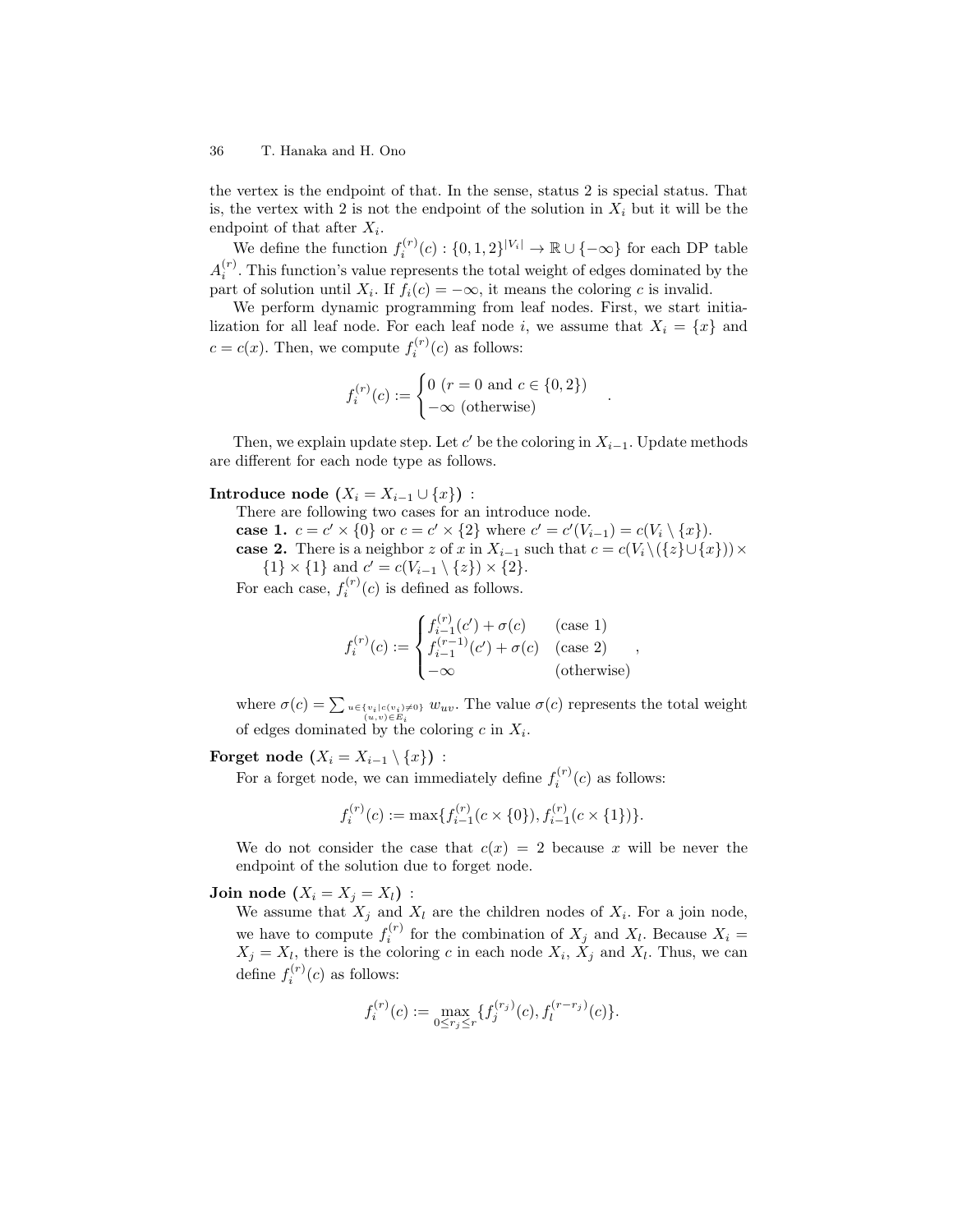the vertex is the endpoint of that. In the sense, status 2 is special status. That is, the vertex with 2 is not the endpoint of the solution in  $X_i$  but it will be the endpoint of that after  $X_i$ .

We define the function  $f_i^{(r)}(c): \{0,1,2\}^{|V_i|} \to \mathbb{R} \cup \{-\infty\}$  for each DP table  $A_i^{(r)}$ . This function's value represents the total weight of edges dominated by the part of solution until  $X_i$ . If  $f_i(c) = -\infty$ , it means the coloring c is invalid.

We perform dynamic programming from leaf nodes. First, we start initialization for all leaf node. For each leaf node i, we assume that  $X_i = \{x\}$  and  $c = c(x)$ . Then, we compute  $f_i^{(r)}(c)$  as follows:

$$
f_i^{(r)}(c) := \begin{cases} 0 \ (r = 0 \text{ and } c \in \{0, 2\}) \\ -\infty \text{ (otherwise)} \end{cases}
$$

.

Then, we explain update step. Let  $c'$  be the coloring in  $X_{i-1}$ . Update methods are different for each node type as follows.

Introduce node  $(X_i = X_{i-1} \cup \{x\})$ :

- There are following two cases for an introduce node.
- **case 1.**  $c = c' \times \{0\}$  or  $c = c' \times \{2\}$  where  $c' = c'(V_{i-1}) = c(V_i \setminus \{x\}).$
- case 2. There is a neighbor z of x in  $X_{i-1}$  such that  $c = c(V_i \setminus (\{z\} \cup \{x\})) \times$  ${1} \times {1}$  and  $c' = c(V_{i-1} \setminus {z}) \times {2}.$

For each case,  $f_i^{(r)}(c)$  is defined as follows.

$$
f_i^{(r)}(c) := \begin{cases} f_{i-1}^{(r)}(c') + \sigma(c) & \text{(case 1)}\\ f_{i-1}^{(r-1)}(c') + \sigma(c) & \text{(case 2)}\\ -\infty & \text{(otherwise)} \end{cases}
$$

where  $\sigma(c) = \sum_{u \in \{v_i\} \in (c_i) \neq 0\}} w_{uv}$ . The value  $\sigma(c)$  represents the total weight of edges dominated by the coloring  $c$  in  $X_i$ .

Forget node  $(X_i = X_{i-1} \setminus \{x\})$ :

For a forget node, we can immediately define  $f_i^{(r)}(c)$  as follows:

$$
f_i^{(r)}(c) := \max\{f_{i-1}^{(r)}(c \times \{0\}), f_{i-1}^{(r)}(c \times \{1\})\}.
$$

We do not consider the case that  $c(x) = 2$  because x will be never the endpoint of the solution due to forget node.

### Join node  $(X_i = X_j = X_l)$ :

We assume that  $X_j$  and  $X_l$  are the children nodes of  $X_i$ . For a join node, we have to compute  $f_i^{(r)}$  for the combination of  $X_j$  and  $X_l$ . Because  $X_i =$  $X_j = X_l$ , there is the coloring c in each node  $X_i$ ,  $X_j$  and  $X_l$ . Thus, we can define  $f_i^{(r)}(c)$  as follows:

$$
f_i^{(r)}(c) := \max_{0 \le r_j \le r} \{ f_j^{(r_j)}(c), f_l^{(r-r_j)}(c) \}.
$$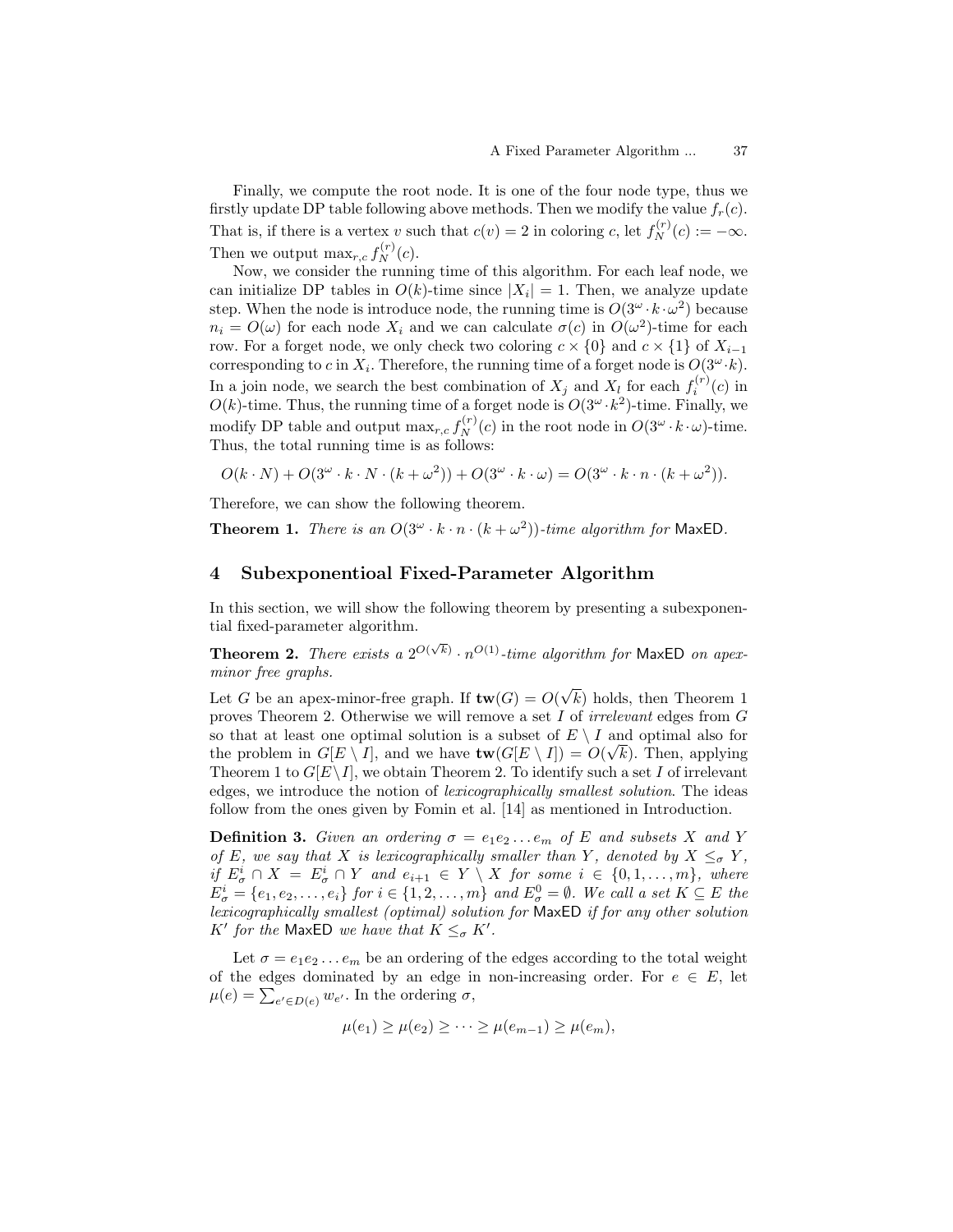Finally, we compute the root node. It is one of the four node type, thus we firstly update DP table following above methods. Then we modify the value  $f_r(c)$ . That is, if there is a vertex v such that  $c(v) = 2$  in coloring c, let  $f_N^{(r)}(c) := -\infty$ . Then we output  $\max_{r,c} f_N^{(r)}(c)$ .

Now, we consider the running time of this algorithm. For each leaf node, we can initialize DP tables in  $O(k)$ -time since  $|X_i| = 1$ . Then, we analyze update step. When the node is introduce node, the running time is  $O(3^{\omega} \cdot k \cdot \omega^2)$  because  $n_i = O(\omega)$  for each node  $X_i$  and we can calculate  $\sigma(c)$  in  $O(\omega^2)$ -time for each row. For a forget node, we only check two coloring  $c \times \{0\}$  and  $c \times \{1\}$  of  $X_{i-1}$ corresponding to c in  $X_i$ . Therefore, the running time of a forget node is  $O(3^{\omega} \cdot k)$ . In a join node, we search the best combination of  $X_j$  and  $X_l$  for each  $f_i^{(r)}(c)$  in  $O(k)$ -time. Thus, the running time of a forget node is  $O(3^{\omega} \cdot k^2)$ -time. Finally, we modify DP table and output  $\max_{r,c} f_N^{(r)}(c)$  in the root node in  $O(3^\omega \cdot k \cdot \omega)$ -time. Thus, the total running time is as follows:

$$
O(k \cdot N) + O(3^{\omega} \cdot k \cdot N \cdot (k + \omega^2)) + O(3^{\omega} \cdot k \cdot \omega) = O(3^{\omega} \cdot k \cdot n \cdot (k + \omega^2)).
$$

Therefore, we can show the following theorem.

**Theorem 1.** There is an  $O(3^{\omega} \cdot k \cdot n \cdot (k + \omega^2))$ -time algorithm for MaxED.

### 4 Subexponentioal Fixed-Parameter Algorithm

In this section, we will show the following theorem by presenting a subexponential fixed-parameter algorithm.

**Theorem 2.** There exists a  $2^{O(\sqrt{k})} \cdot n^{O(1)}$ -time algorithm for MaxED on apexminor free graphs. √

Let G be an apex-minor-free graph. If  $\text{tw}(G) = O(\frac{1}{\sqrt{2\pi}})$ k) holds, then Theorem 1 proves Theorem 2. Otherwise we will remove a set I of irrelevant edges from G so that at least one optimal solution is a subset of  $E \setminus I$  and optimal also for the problem in  $G[E \setminus I]$ , and we have  $\text{tw}(G[E \setminus I]) = O(\sqrt{k})$ . Then, applying Theorem 1 to  $G[E\setminus I]$ , we obtain Theorem 2. To identify such a set I of irrelevant edges, we introduce the notion of lexicographically smallest solution. The ideas follow from the ones given by Fomin et al. [14] as mentioned in Introduction.

**Definition 3.** Given an ordering  $\sigma = e_1e_2...e_m$  of E and subsets X and Y of E, we say that X is lexicographically smaller than Y, denoted by  $X \leq_{\sigma} Y$ , if  $E^i_{\sigma} \cap X = E^i_{\sigma} \cap Y$  and  $e_{i+1} \in Y \setminus X$  for some  $i \in \{0, 1, ..., m\}$ , where  $E^i_{\sigma} = \{e_1, e_2, \ldots, e_i\}$  for  $i \in \{1, 2, \ldots, m\}$  and  $E^0_{\sigma} = \emptyset$ . We call a set  $K \subseteq E$  the lexicographically smallest (optimal) solution for MaxED if for any other solution K' for the MaxED we have that  $K \leq_{\sigma} K'$ .

Let  $\sigma = e_1 e_2 \dots e_m$  be an ordering of the edges according to the total weight of the edges dominated by an edge in non-increasing order. For  $e \in E$ , let  $\mu(e) = \sum_{e' \in D(e)} w_{e'}$ . In the ordering  $\sigma$ ,

$$
\mu(e_1) \geq \mu(e_2) \geq \cdots \geq \mu(e_{m-1}) \geq \mu(e_m),
$$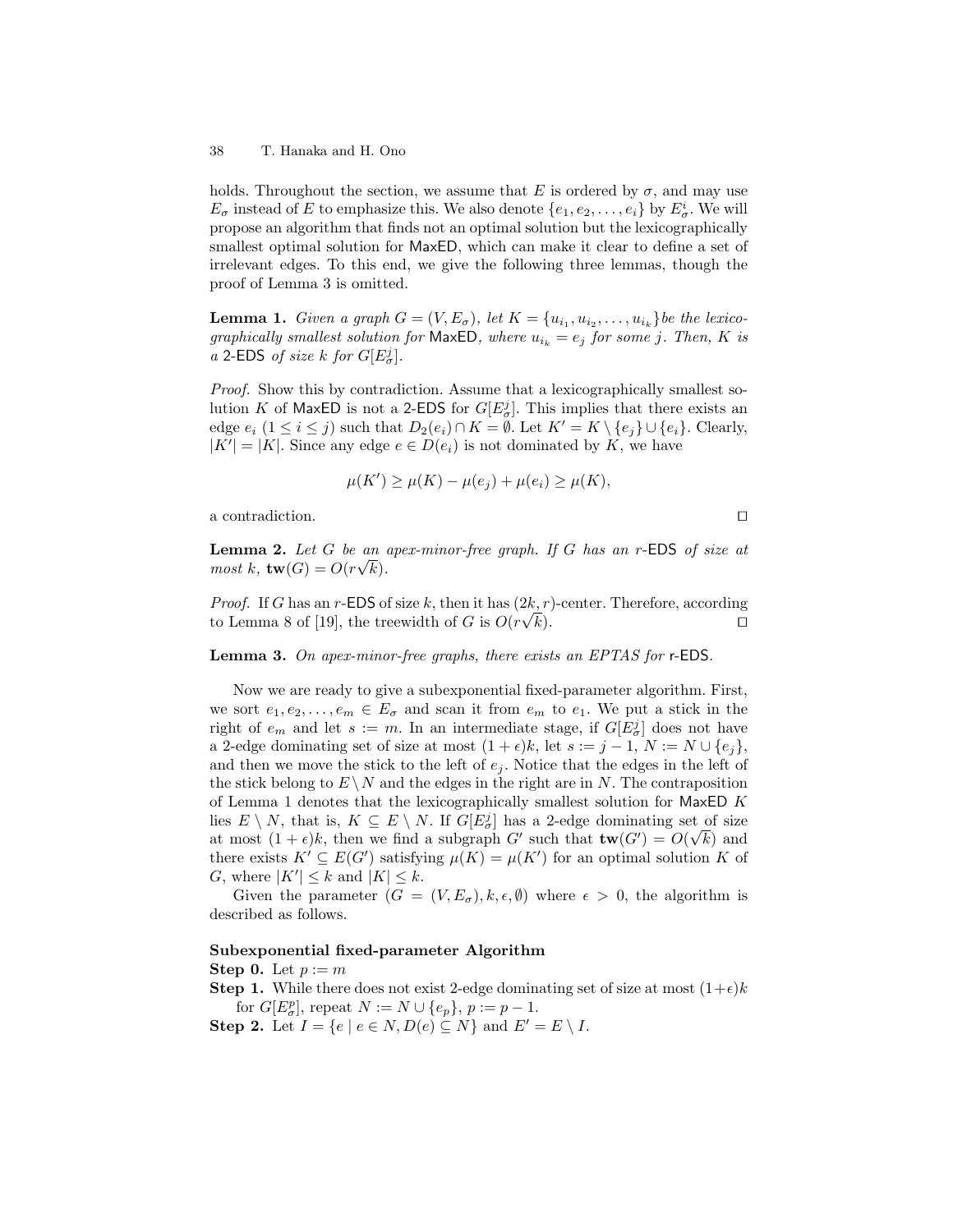holds. Throughout the section, we assume that E is ordered by  $\sigma$ , and may use  $E_{\sigma}$  instead of E to emphasize this. We also denote  $\{e_1, e_2, \ldots, e_i\}$  by  $E_{\sigma}^i$ . We will propose an algorithm that finds not an optimal solution but the lexicographically smallest optimal solution for MaxED, which can make it clear to define a set of irrelevant edges. To this end, we give the following three lemmas, though the proof of Lemma 3 is omitted.

**Lemma 1.** Given a graph  $G = (V, E_{\sigma})$ , let  $K = \{u_{i_1}, u_{i_2}, \ldots, u_{i_k}\}$  be the lexicographically smallest solution for MaxED, where  $u_{i_k} = e_j$  for some j. Then, K is a 2-EDS of size k for  $G[E^j_{\sigma}].$ 

Proof. Show this by contradiction. Assume that a lexicographically smallest solution K of MaxED is not a 2-EDS for  $G[E^j_{\sigma}]$ . This implies that there exists an edge  $e_i$   $(1 \le i \le j)$  such that  $D_2(e_i) \cap K = \emptyset$ . Let  $K' = K \setminus \{e_j\} \cup \{e_i\}$ . Clearly,  $|K'| = |K|$ . Since any edge  $e \in D(e_i)$  is not dominated by K, we have

$$
\mu(K') \ge \mu(K) - \mu(e_j) + \mu(e_i) \ge \mu(K),
$$

a contradiction.  $\Box$ 

**Lemma 2.** Let G be an apex-minor-free graph. If G has an r-EDS of size at  $most\ k, \mathbf{tw}(G) = O(r\sqrt{k}).$ 

*Proof.* If G has an r-EDS of size k, then it has  $(2k, r)$ -center. Therefore, according to Lemma 8 of [19], the treewidth of G is  $O(r\sqrt{k})$ .  $(k)$ .

Lemma 3. On apex-minor-free graphs, there exists an EPTAS for r-EDS.

Now we are ready to give a subexponential fixed-parameter algorithm. First, we sort  $e_1, e_2, \ldots, e_m \in E_{\sigma}$  and scan it from  $e_m$  to  $e_1$ . We put a stick in the right of  $e_m$  and let  $s := m$ . In an intermediate stage, if  $G[E^j_\sigma]$  does not have a 2-edge dominating set of size at most  $(1 + \epsilon)k$ , let  $s := j - 1$ ,  $N := N \cup \{e_j\}$ , and then we move the stick to the left of  $e_i$ . Notice that the edges in the left of the stick belong to  $E \setminus N$  and the edges in the right are in N. The contraposition of Lemma 1 denotes that the lexicographically smallest solution for  $MaxED K$ lies  $E \setminus N$ , that is,  $K \subseteq E \setminus N$ . If  $G[E^j_{\sigma}]$  has a 2-edge dominating set of size at most  $(1 + \epsilon)k$ , then we find a subgraph G' such that  $\mathbf{tw}(G') = O(\sqrt{k})$  and there exists  $K' \subseteq E(G')$  satisfying  $\mu(K) = \mu(K')$  for an optimal solution K of G, where  $|K'| \leq k$  and  $|K| \leq k$ .

Given the parameter  $(G = (V, E_{\sigma}), k, \epsilon, \emptyset)$  where  $\epsilon > 0$ , the algorithm is described as follows.

### Subexponential fixed-parameter Algorithm

Step 0. Let  $p := m$ 

**Step 1.** While there does not exist 2-edge dominating set of size at most  $(1+\epsilon)k$ for  $G[E^p_{\sigma}],$  repeat  $N := N \cup \{e_p\}, p := p - 1$ . Step 2. Let  $I = \{e \mid e \in N, D(e) \subseteq N\}$  and  $E' = E \setminus I$ .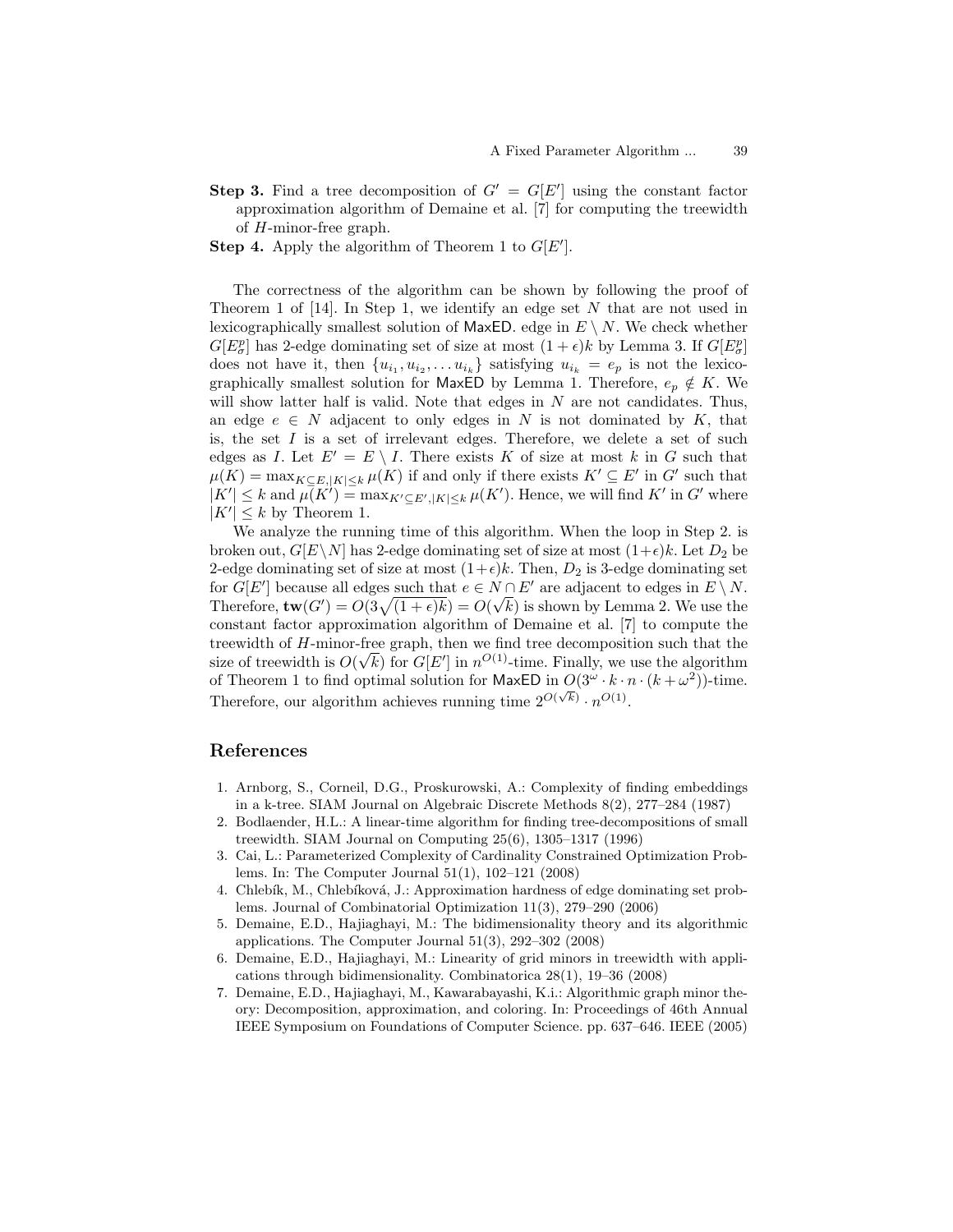- **Step 3.** Find a tree decomposition of  $G' = G[E']$  using the constant factor approximation algorithm of Demaine et al. [7] for computing the treewidth of H-minor-free graph.
- **Step 4.** Apply the algorithm of Theorem 1 to  $G[E']$ .

The correctness of the algorithm can be shown by following the proof of Theorem 1 of  $[14]$ . In Step 1, we identify an edge set N that are not used in lexicographically smallest solution of MaxED. edge in  $E \setminus N$ . We check whether  $G[E^p_\sigma]$  has 2-edge dominating set of size at most  $(1+\epsilon)k$  by Lemma 3. If  $G[E^p_\sigma]$ does not have it, then  $\{u_{i_1}, u_{i_2}, \ldots u_{i_k}\}$  satisfying  $u_{i_k} = e_p$  is not the lexicographically smallest solution for MaxED by Lemma 1. Therefore,  $e_p \notin K$ . We will show latter half is valid. Note that edges in  $N$  are not candidates. Thus, an edge  $e \in N$  adjacent to only edges in N is not dominated by K, that is, the set  $I$  is a set of irrelevant edges. Therefore, we delete a set of such edges as I. Let  $E' = E \setminus I$ . There exists K of size at most k in G such that  $\mu(K) = \max_{K \subseteq E, |K| \leq k} \mu(K)$  if and only if there exists  $K' \subseteq E'$  in  $G'$  such that  $|K'| \leq k$  and  $\mu(K') = \max_{K' \subseteq E', |K| \leq k} \mu(K')$ . Hence, we will find K' in G' where  $|K'| \leq k$  by Theorem 1.

We analyze the running time of this algorithm. When the loop in Step 2. is broken out,  $G[E\setminus N]$  has 2-edge dominating set of size at most  $(1+\epsilon)k$ . Let  $D_2$  be 2-edge dominating set of size at most  $(1+\epsilon)k$ . Then,  $D_2$  is 3-edge dominating set for  $G[E']$  because all edges such that  $e \in N \cap E'$  are adjacent to edges in  $E \setminus N$ . Therefore,  $\mathbf{tw}(G') = O(3\sqrt{(1+\epsilon)k}) = O(\sqrt{k})$  is shown by Lemma 2. We use the constant factor approximation algorithm of Demaine et al. [7] to compute the treewidth of H-minor-free graph, then we find tree decomposition such that the size of treewidth is  $O(\sqrt{k})$  for  $G[E']$  in  $n^{O(1)}$ -time. Finally, we use the algorithm of Theorem 1 to find optimal solution for MaxED in  $O(3^{\omega} \cdot k \cdot n \cdot (k + \omega^2))$ -time. Therefore, our algorithm achieves running time  $2^{O(\sqrt{k})} \cdot n^{O(1)}$ .

### References

- 1. Arnborg, S., Corneil, D.G., Proskurowski, A.: Complexity of finding embeddings in a k-tree. SIAM Journal on Algebraic Discrete Methods 8(2), 277–284 (1987)
- 2. Bodlaender, H.L.: A linear-time algorithm for finding tree-decompositions of small treewidth. SIAM Journal on Computing 25(6), 1305–1317 (1996)
- 3. Cai, L.: Parameterized Complexity of Cardinality Constrained Optimization Problems. In: The Computer Journal 51(1), 102–121 (2008)
- 4. Chlebík, M., Chlebíková, J.: Approximation hardness of edge dominating set problems. Journal of Combinatorial Optimization 11(3), 279–290 (2006)
- 5. Demaine, E.D., Hajiaghayi, M.: The bidimensionality theory and its algorithmic applications. The Computer Journal 51(3), 292–302 (2008)
- 6. Demaine, E.D., Hajiaghayi, M.: Linearity of grid minors in treewidth with applications through bidimensionality. Combinatorica 28(1), 19–36 (2008)
- 7. Demaine, E.D., Hajiaghayi, M., Kawarabayashi, K.i.: Algorithmic graph minor theory: Decomposition, approximation, and coloring. In: Proceedings of 46th Annual IEEE Symposium on Foundations of Computer Science. pp. 637–646. IEEE (2005)